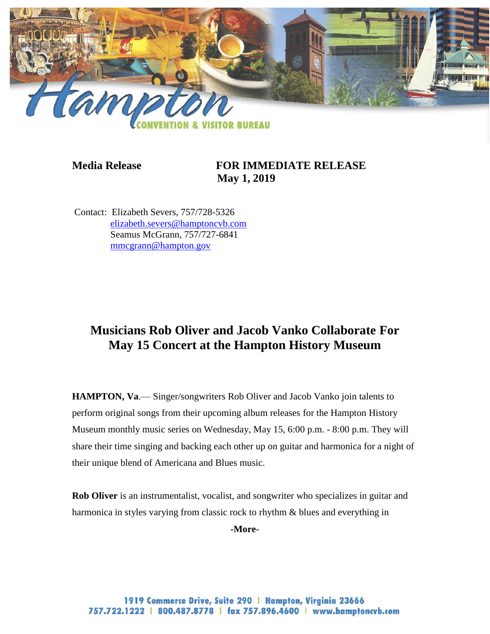

## **Media Release FOR IMMEDIATE RELEASE May 1, 2019**

Contact: Elizabeth Severs, 757/728-5326 [elizabeth.severs@hamptoncvb.com](mailto:elizabeth.severs@hamptoncvb.com) Seamus McGrann, 757/727-6841 [mmcgrann@hampton.gov](mailto:mmcgrann@hampton.gov)

# **Musicians Rob Oliver and Jacob Vanko Collaborate For May 15 Concert at the Hampton History Museum**

**HAMPTON, Va**.— Singer/songwriters Rob Oliver and Jacob Vanko join talents to perform original songs from their upcoming album releases for the Hampton History Museum monthly music series on Wednesday, May 15, 6:00 p.m. - 8:00 p.m. They will share their time singing and backing each other up on guitar and harmonica for a night of their unique blend of Americana and Blues music.

**Rob Oliver** is an instrumentalist, vocalist, and songwriter who specializes in guitar and harmonica in styles varying from classic rock to rhythm & blues and everything in

**-More-**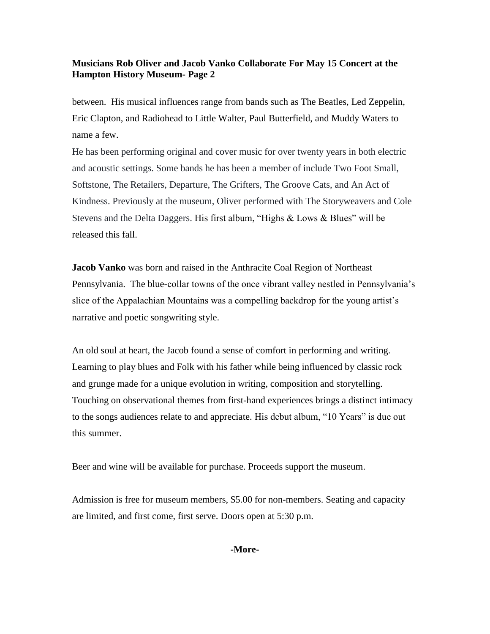### **Musicians Rob Oliver and Jacob Vanko Collaborate For May 15 Concert at the Hampton History Museum- Page 2**

between. His musical influences range from bands such as The Beatles, Led Zeppelin, Eric Clapton, and Radiohead to Little Walter, Paul Butterfield, and Muddy Waters to name a few.

He has been performing original and cover music for over twenty years in both electric and acoustic settings. Some bands he has been a member of include Two Foot Small, Softstone, The Retailers, Departure, The Grifters, The Groove Cats, and An Act of Kindness. Previously at the museum, Oliver performed with The Storyweavers and Cole Stevens and the Delta Daggers. His first album, "Highs & Lows & Blues" will be released this fall.

**Jacob Vanko** was born and raised in the Anthracite Coal Region of Northeast Pennsylvania. The blue-collar towns of the once vibrant valley nestled in Pennsylvania's slice of the Appalachian Mountains was a compelling backdrop for the young artist's narrative and poetic songwriting style.

An old soul at heart, the Jacob found a sense of comfort in performing and writing. Learning to play blues and Folk with his father while being influenced by classic rock and grunge made for a unique evolution in writing, composition and storytelling. Touching on observational themes from first-hand experiences brings a distinct intimacy to the songs audiences relate to and appreciate. His debut album, "10 Years" is due out this summer.

Beer and wine will be available for purchase. Proceeds support the museum.

Admission is free for museum members, \$5.00 for non-members. Seating and capacity are limited, and first come, first serve. Doors open at 5:30 p.m.

#### **-More-**